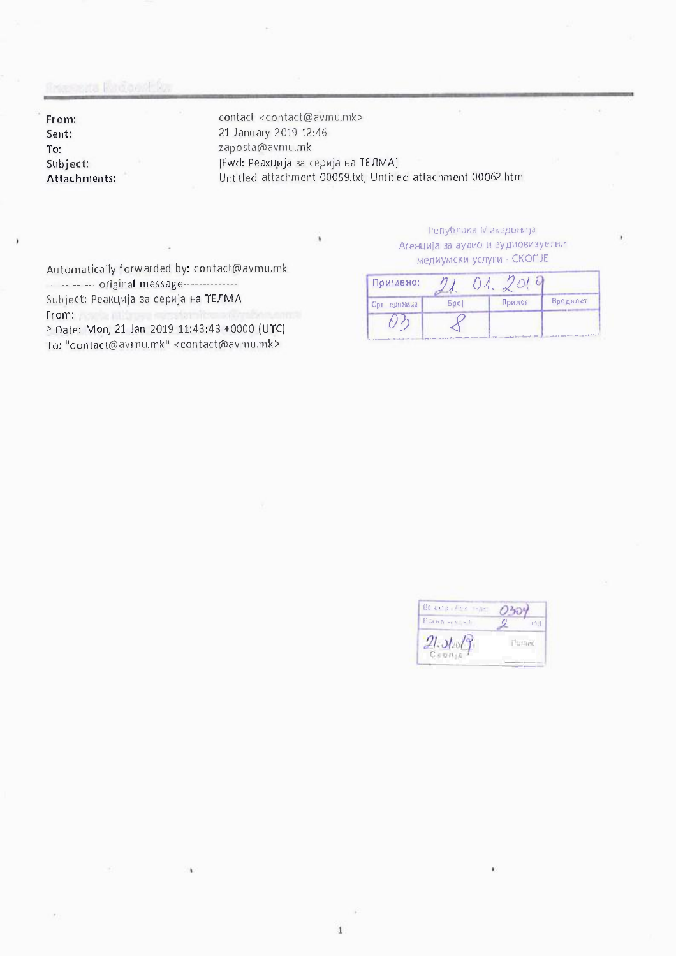## Francesco Kindonello

From: Sent: To: Subject: Attachments:

contact <contact@avmu.mk> 21 January 2019 12:46 zaposta@avmu.mk [Fwd: Peaxuuja aa cepnja Ha TE/lMA] Untitled attachment 00059.txt; Untitled attachment 00062.htm

Automatically forwarded by: contact@avmu.mk -------------- original message---------------Subject: Реакција за серија на ТЕЛМА From:

> Date: Mon, 21 Jan 2019 11:43:43 +0000 (UTC) To: "contact@avrnu.mk" <contact@avmu.mk>

## **Република** Македонија **AreH4111ja** aa **ayA1110 \II ayA1,1os1113ye,1HL'I**  медиумски услуги - CKONJE

| Приглено:    |            |                                                                   |                                                     |
|--------------|------------|-------------------------------------------------------------------|-----------------------------------------------------|
| Орг. единица | <b>Bpo</b> | Придог                                                            | Вредност                                            |
|              |            | "The party of the special control to the first of<br><b>START</b> | Checked to seems them stated in up to do it has all |

| Bo art in the mine |         |       |
|--------------------|---------|-------|
| $PCO(6 - 1) = 1$   |         | [0,1] |
| $dt_0$ /9          | Pernant |       |
|                    |         |       |